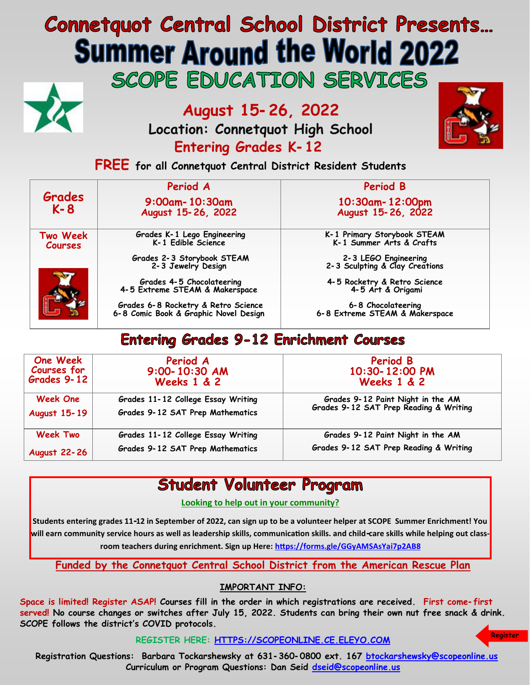# **Connetquot Central School District Presents... Summer Around the World 2022** SCOPE EDUCATION SERVICES



**August 15-26, 2022**

**Location: Connetquot High School Entering Grades K-12**



**Register** 

**FREE for all Connetquot Central District Resident Students**

|                            | Period A                                                                     | Period B                                                |
|----------------------------|------------------------------------------------------------------------------|---------------------------------------------------------|
| Grades<br>$K - 8$          | $9:00$ am - 10:30am<br>August 15-26, 2022                                    | 10:30am-12:00pm<br>August 15-26, 2022                   |
| Two Week<br><b>Courses</b> | Grades K-1 Lego Engineering<br>K-1 Edible Science                            | K-1 Primary Storybook STEAM<br>K-1 Summer Arts & Crafts |
|                            | Grades 2-3 Storybook STEAM<br>2-3 Jewelry Design                             | 2-3 LEGO Engineering<br>2-3 Sculpting & Clay Creations  |
|                            | Grades 4-5 Chocolateering<br>4-5 Extreme STEAM & Makerspace                  | 4-5 Rocketry & Retro Science<br>4-5 Art & Origami       |
|                            | Grades 6-8 Rocketry & Retro Science<br>6-8 Comic Book & Graphic Novel Design | 6-8 Chocolateering<br>6-8 Extreme STEAM & Makerspace    |

## **Entering Grades 9-12 Enrichment Courses**

| <b>One Week</b><br>Courses for<br>Grades 9-12 | Period A<br>$9:00 - 10:30$ AM<br><b>Weeks 1 &amp; 2</b> | <b>Period B</b><br>10:30-12:00 PM<br><b>Weeks 1 &amp; 2</b>                 |
|-----------------------------------------------|---------------------------------------------------------|-----------------------------------------------------------------------------|
| <b>Week One</b>                               | Grades 11-12 College Essay Writing                      | Grades 9-12 Paint Night in the AM<br>Grades 9-12 SAT Prep Reading & Writing |
| <b>August 15-19</b>                           | Grades 9-12 SAT Prep Mathematics                        |                                                                             |
| <b>Week Two</b>                               | Grades 11-12 College Essay Writing                      | Grades 9-12 Paint Night in the AM                                           |
| <b>August 22-26</b>                           | Grades 9-12 SAT Prep Mathematics                        | Grades 9-12 SAT Prep Reading & Writing                                      |

## **Student Volunteer Program**

**Looking to help out in your community?**

**Students entering grades 11-12 in September of 2022, can sign up to be a volunteer helper at SCOPE Summer Enrichment! You will earn community service hours as well as leadership skills, communication skills. and child-care skills while helping out classroom teachers during enrichment. Sign up Here: <https://forms.gle/GGyAMSAsYai7p2AB8>**

**Funded by the Connetquot Central School District from the American Rescue Plan**

### **IMPORTANT INFO:**

**Space is limited! Register ASAP! Courses fill in the order in which registrations are received. First come-first served! No course changes or switches after July 15, 2022. Students can bring their own nut free snack & drink. SCOPE follows the district's COVID protocols.**

**REGISTER HERE: <HTTPS://SCOPEONLINE.CE.ELEYO.COM>**

 **Registration Questions: Barbara Tockarshewsky at 631-360-0800 ext. 167 [btockarshewsky@scopeonline.us](mailto:btockarshewsky@scopeonlone.us)  Curriculum or Program Questions: Dan Seid [dseid@scopeonline.us](mailto:dseid@scopeonline.us)**